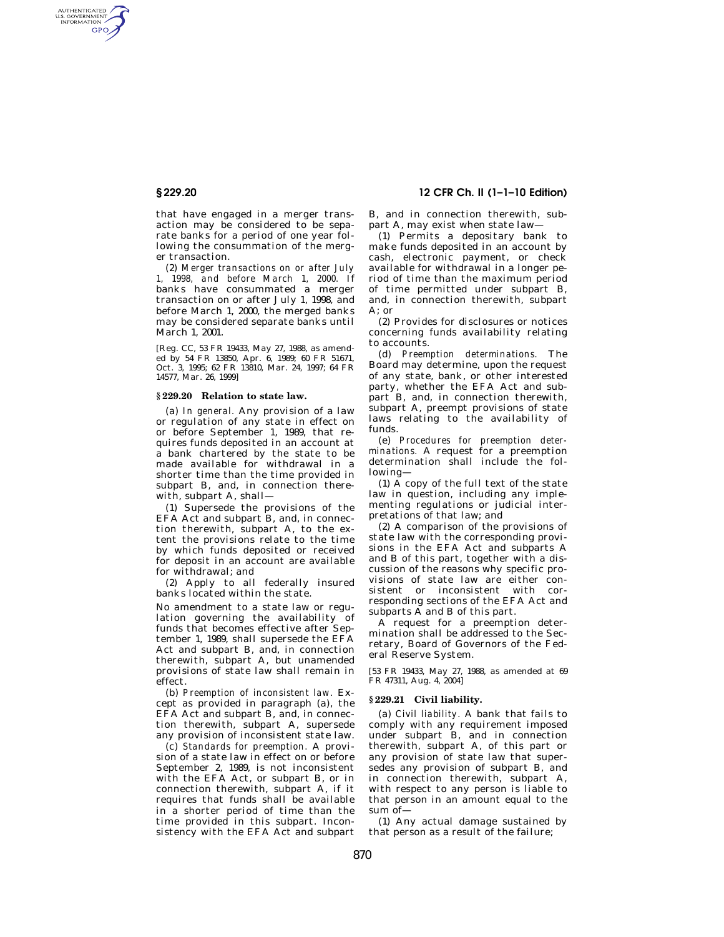AUTHENTICATED<br>U.S. GOVERNMENT<br>INFORMATION **GPO** 

> that have engaged in a merger transaction may be considered to be separate banks for a period of one year following the consummation of the merger transaction.

> (2) *Merger transactions on or after July 1, 1998, and before March 1, 2000.* If banks have consummated a merger transaction on or after July 1, 1998, and before March 1, 2000, the merged banks may be considered separate banks until March 1, 2001.

> [Reg. CC, 53 FR 19433, May 27, 1988, as amended by 54 FR 13850, Apr. 6, 1989; 60 FR 51671, Oct. 3, 1995; 62 FR 13810, Mar. 24, 1997; 64 FR 14577, Mar. 26, 1999]

#### **§ 229.20 Relation to state law.**

(a) *In general.* Any provision of a law or regulation of any state in effect on or before September 1, 1989, that requires funds deposited in an account at a bank chartered by the state to be made available for withdrawal in a shorter time than the time provided in subpart B, and, in connection therewith, subpart A, shall—

(1) Supersede the provisions of the EFA Act and subpart B, and, in connection therewith, subpart A, to the extent the provisions relate to the time by which funds deposited or received for deposit in an account are available for withdrawal; and

(2) Apply to all federally insured banks located within the state.

No amendment to a state law or regulation governing the availability of funds that becomes effective after September 1, 1989, shall supersede the EFA Act and subpart B, and, in connection therewith, subpart A, but unamended provisions of state law shall remain in effect.

(b) *Preemption of inconsistent law.* Except as provided in paragraph (a), the EFA Act and subpart B, and, in connection therewith, subpart A, supersede any provision of inconsistent state law.

(c) *Standards for preemption.* A provision of a state law in effect on or before September 2, 1989, is not inconsistent with the EFA Act, or subpart B, or in connection therewith, subpart A, if it requires that funds shall be available in a shorter period of time than the time provided in this subpart. Inconsistency with the EFA Act and subpart

**§ 229.20 12 CFR Ch. II (1–1–10 Edition)** 

B, and in connection therewith, subpart A, may exist when state law—

(1) Permits a depositary bank to make funds deposited in an account by cash, electronic payment, or check available for withdrawal in a longer period of time than the maximum period of time permitted under subpart B, and, in connection therewith, subpart A; or

(2) Provides for disclosures or notices concerning funds availability relating to accounts.

(d) *Preemption determinations.* The Board may determine, upon the request of any state, bank, or other interested party, whether the EFA Act and subpart B, and, in connection therewith, subpart A, preempt provisions of state laws relating to the availability of funds.

(e) *Procedures for preemption determinations.* A request for a preemption determination shall include the following—

(1) A copy of the full text of the state law in question, including any implementing regulations or judicial interpretations of that law; and

(2) A comparison of the provisions of state law with the corresponding provisions in the EFA Act and subparts A and B of this part, together with a discussion of the reasons why specific provisions of state law are either consistent or inconsistent with corresponding sections of the EFA Act and subparts  $\widetilde{A}$  and B of this part.

A request for a preemption determination shall be addressed to the Secretary, Board of Governors of the Federal Reserve System.

[53 FR 19433, May 27, 1988, as amended at 69 FR 47311, Aug. 4, 2004]

#### **§ 229.21 Civil liability.**

(a) *Civil liability.* A bank that fails to comply with any requirement imposed under subpart B, and in connection therewith, subpart A, of this part or any provision of state law that supersedes any provision of subpart B, and in connection therewith, subpart A, with respect to any person is liable to that person in an amount equal to the sum of—

(1) Any actual damage sustained by that person as a result of the failure;